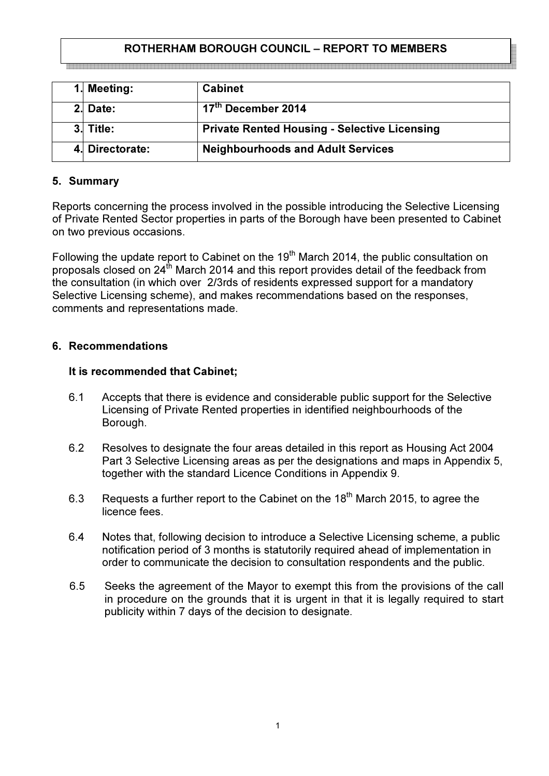# ROTHERHAM BOROUGH COUNCIL – REPORT TO MEMBERS

| 1. Meeting:     | <b>Cabinet</b>                                      |
|-----------------|-----------------------------------------------------|
| $2.$ Date:      | 17 <sup>th</sup> December 2014                      |
| 3. Title:       | <b>Private Rented Housing - Selective Licensing</b> |
| 4. Directorate: | <b>Neighbourhoods and Adult Services</b>            |

## 5. Summary

Reports concerning the process involved in the possible introducing the Selective Licensing of Private Rented Sector properties in parts of the Borough have been presented to Cabinet on two previous occasions.

Following the update report to Cabinet on the 19<sup>th</sup> March 2014, the public consultation on proposals closed on 24<sup>th</sup> March 2014 and this report provides detail of the feedback from the consultation (in which over 2/3rds of residents expressed support for a mandatory Selective Licensing scheme), and makes recommendations based on the responses, comments and representations made.

## 6. Recommendations

### It is recommended that Cabinet;

- 6.1 Accepts that there is evidence and considerable public support for the Selective Licensing of Private Rented properties in identified neighbourhoods of the Borough.
- 6.2 Resolves to designate the four areas detailed in this report as Housing Act 2004 Part 3 Selective Licensing areas as per the designations and maps in Appendix 5, together with the standard Licence Conditions in Appendix 9.
- 6.3 Requests a further report to the Cabinet on the  $18<sup>th</sup>$  March 2015, to agree the licence fees.
- 6.4 Notes that, following decision to introduce a Selective Licensing scheme, a public notification period of 3 months is statutorily required ahead of implementation in order to communicate the decision to consultation respondents and the public.
- 6.5 Seeks the agreement of the Mayor to exempt this from the provisions of the call in procedure on the grounds that it is urgent in that it is legally required to start publicity within 7 days of the decision to designate.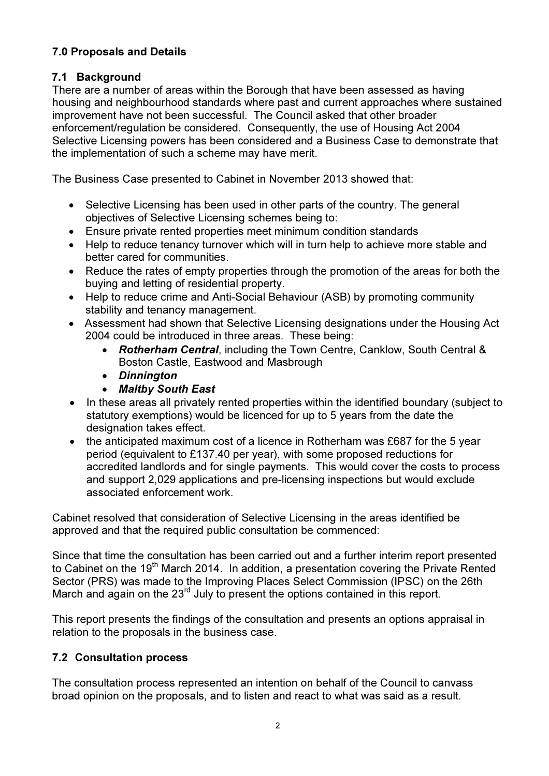# 7.0 Proposals and Details

# 7.1 Background

There are a number of areas within the Borough that have been assessed as having housing and neighbourhood standards where past and current approaches where sustained improvement have not been successful. The Council asked that other broader enforcement/regulation be considered. Consequently, the use of Housing Act 2004 Selective Licensing powers has been considered and a Business Case to demonstrate that the implementation of such a scheme may have merit.

The Business Case presented to Cabinet in November 2013 showed that:

- Selective Licensing has been used in other parts of the country. The general objectives of Selective Licensing schemes being to:
- Ensure private rented properties meet minimum condition standards
- Help to reduce tenancy turnover which will in turn help to achieve more stable and better cared for communities.
- Reduce the rates of empty properties through the promotion of the areas for both the buying and letting of residential property.
- Help to reduce crime and Anti-Social Behaviour (ASB) by promoting community stability and tenancy management.
- Assessment had shown that Selective Licensing designations under the Housing Act 2004 could be introduced in three areas. These being:
	- Rotherham Central, including the Town Centre, Canklow, South Central & Boston Castle, Eastwood and Masbrough
	- Dinnington
	- Maltby South East
- In these areas all privately rented properties within the identified boundary (subject to statutory exemptions) would be licenced for up to 5 years from the date the designation takes effect.
- the anticipated maximum cost of a licence in Rotherham was £687 for the 5 year period (equivalent to £137.40 per year), with some proposed reductions for accredited landlords and for single payments. This would cover the costs to process and support 2,029 applications and pre-licensing inspections but would exclude associated enforcement work.

Cabinet resolved that consideration of Selective Licensing in the areas identified be approved and that the required public consultation be commenced:

Since that time the consultation has been carried out and a further interim report presented to Cabinet on the 19<sup>th</sup> March 2014. In addition, a presentation covering the Private Rented Sector (PRS) was made to the Improving Places Select Commission (IPSC) on the 26th March and again on the 23<sup>rd</sup> July to present the options contained in this report.

This report presents the findings of the consultation and presents an options appraisal in relation to the proposals in the business case.

# 7.2 Consultation process

The consultation process represented an intention on behalf of the Council to canvass broad opinion on the proposals, and to listen and react to what was said as a result.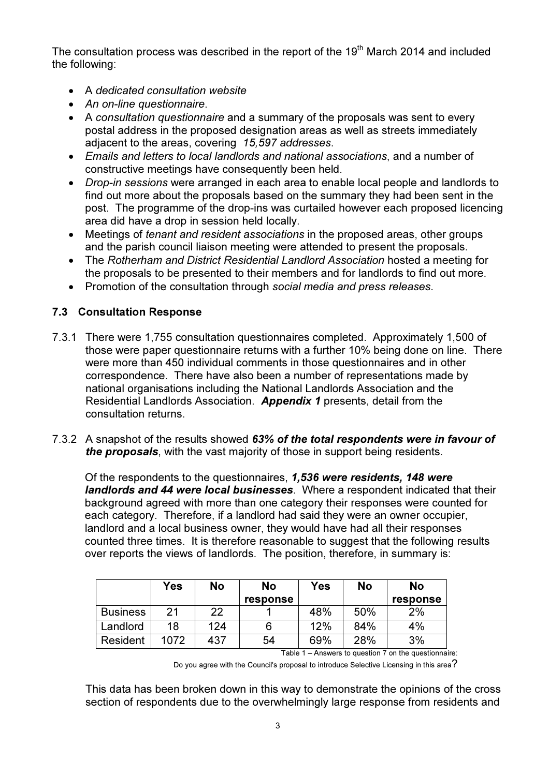The consultation process was described in the report of the 19<sup>th</sup> March 2014 and included the following:

- A dedicated consultation website
- An on-line questionnaire.
- A consultation questionnaire and a summary of the proposals was sent to every postal address in the proposed designation areas as well as streets immediately adjacent to the areas, covering 15,597 addresses.
- Emails and letters to local landlords and national associations, and a number of constructive meetings have consequently been held.
- Drop-in sessions were arranged in each area to enable local people and landlords to find out more about the proposals based on the summary they had been sent in the post. The programme of the drop-ins was curtailed however each proposed licencing area did have a drop in session held locally.
- Meetings of tenant and resident associations in the proposed areas, other groups and the parish council liaison meeting were attended to present the proposals.
- The Rotherham and District Residential Landlord Association hosted a meeting for the proposals to be presented to their members and for landlords to find out more.
- Promotion of the consultation through social media and press releases.

# 7.3 Consultation Response

- 7.3.1 There were 1,755 consultation questionnaires completed. Approximately 1,500 of those were paper questionnaire returns with a further 10% being done on line. There were more than 450 individual comments in those questionnaires and in other correspondence. There have also been a number of representations made by national organisations including the National Landlords Association and the Residential Landlords Association. Appendix 1 presents, detail from the consultation returns.
- 7.3.2 A snapshot of the results showed 63% of the total respondents were in favour of the proposals, with the vast majority of those in support being residents.

Of the respondents to the questionnaires, 1,536 were residents, 148 were landlords and 44 were local businesses. Where a respondent indicated that their background agreed with more than one category their responses were counted for each category. Therefore, if a landlord had said they were an owner occupier, landlord and a local business owner, they would have had all their responses counted three times. It is therefore reasonable to suggest that the following results over reports the views of landlords. The position, therefore, in summary is:

|                 | Yes  | No  | No       | Yes | <b>No</b> | No       |
|-----------------|------|-----|----------|-----|-----------|----------|
|                 |      |     | response |     |           | response |
| <b>Business</b> | 21   | 22  |          | 48% | 50%       | 2%       |
| Landlord        | 18   | 124 | 6        | 12% | 84%       | 4%       |
| Resident        | 1072 | 437 | 54       | 69% | 28%       | 3%       |

Table 1 – Answers to question 7 on the questionnaire:

Do you agree with the Council's proposal to introduce Selective Licensing in this area $?$ 

This data has been broken down in this way to demonstrate the opinions of the cross section of respondents due to the overwhelmingly large response from residents and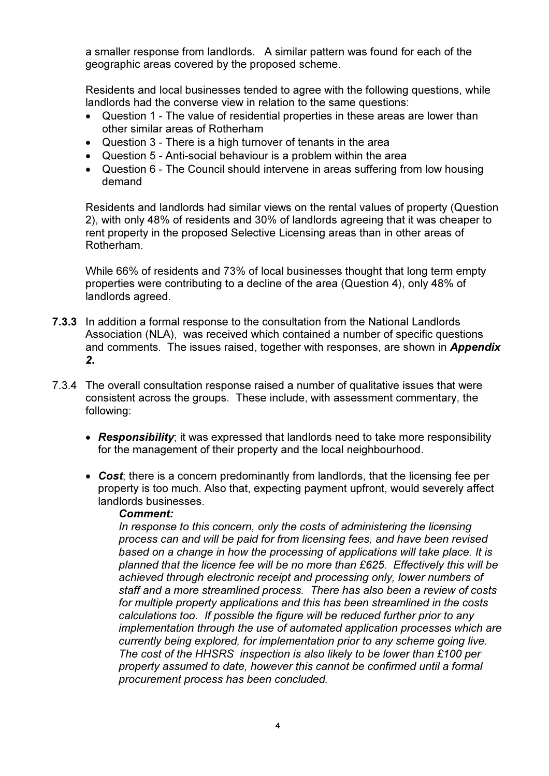a smaller response from landlords. A similar pattern was found for each of the geographic areas covered by the proposed scheme.

Residents and local businesses tended to agree with the following questions, while landlords had the converse view in relation to the same questions:

- Question 1 The value of residential properties in these areas are lower than other similar areas of Rotherham
- Question 3 There is a high turnover of tenants in the area
- Question 5 Anti-social behaviour is a problem within the area
- Question 6 The Council should intervene in areas suffering from low housing demand

Residents and landlords had similar views on the rental values of property (Question 2), with only 48% of residents and 30% of landlords agreeing that it was cheaper to rent property in the proposed Selective Licensing areas than in other areas of Rotherham.

While 66% of residents and 73% of local businesses thought that long term empty properties were contributing to a decline of the area (Question 4), only 48% of landlords agreed.

- 7.3.3 In addition a formal response to the consultation from the National Landlords Association (NLA), was received which contained a number of specific questions and comments. The issues raised, together with responses, are shown in **Appendix** 2.
- 7.3.4 The overall consultation response raised a number of qualitative issues that were consistent across the groups. These include, with assessment commentary, the following:
	- Responsibility; it was expressed that landlords need to take more responsibility for the management of their property and the local neighbourhood.
	- Cost, there is a concern predominantly from landlords, that the licensing fee per property is too much. Also that, expecting payment upfront, would severely affect landlords businesses.

### Comment:

In response to this concern, only the costs of administering the licensing process can and will be paid for from licensing fees, and have been revised based on a change in how the processing of applications will take place. It is planned that the licence fee will be no more than £625. Effectively this will be achieved through electronic receipt and processing only, lower numbers of staff and a more streamlined process. There has also been a review of costs for multiple property applications and this has been streamlined in the costs calculations too. If possible the figure will be reduced further prior to any implementation through the use of automated application processes which are currently being explored, for implementation prior to any scheme going live. The cost of the HHSRS inspection is also likely to be lower than £100 per property assumed to date, however this cannot be confirmed until a formal procurement process has been concluded.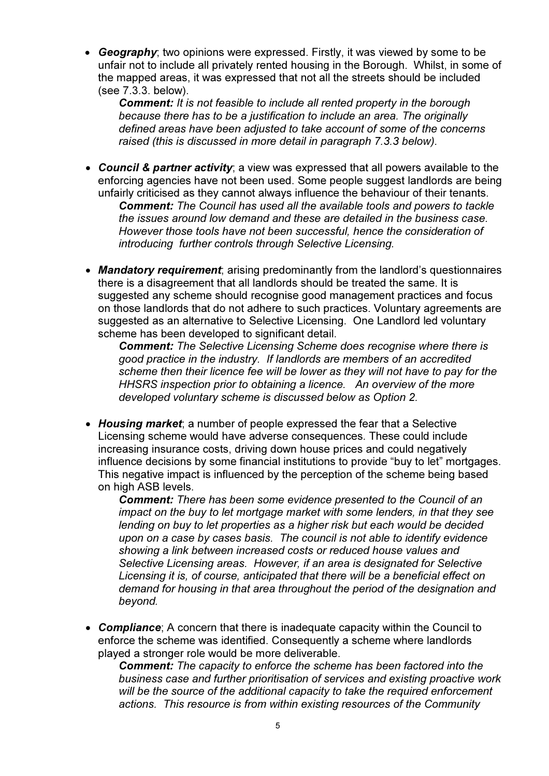• Geography; two opinions were expressed. Firstly, it was viewed by some to be unfair not to include all privately rented housing in the Borough. Whilst, in some of the mapped areas, it was expressed that not all the streets should be included (see 7.3.3. below).

**Comment:** It is not feasible to include all rented property in the borough because there has to be a justification to include an area. The originally defined areas have been adjusted to take account of some of the concerns raised (this is discussed in more detail in paragraph 7.3.3 below).

- Council & partner activity; a view was expressed that all powers available to the enforcing agencies have not been used. Some people suggest landlords are being unfairly criticised as they cannot always influence the behaviour of their tenants. **Comment:** The Council has used all the available tools and powers to tackle the issues around low demand and these are detailed in the business case. However those tools have not been successful, hence the consideration of introducing further controls through Selective Licensing.
- Mandatory requirement; arising predominantly from the landlord's questionnaires there is a disagreement that all landlords should be treated the same. It is suggested any scheme should recognise good management practices and focus on those landlords that do not adhere to such practices. Voluntary agreements are suggested as an alternative to Selective Licensing. One Landlord led voluntary scheme has been developed to significant detail.

**Comment:** The Selective Licensing Scheme does recognise where there is good practice in the industry. If landlords are members of an accredited scheme then their licence fee will be lower as they will not have to pay for the HHSRS inspection prior to obtaining a licence. An overview of the more developed voluntary scheme is discussed below as Option 2.

• Housing market: a number of people expressed the fear that a Selective Licensing scheme would have adverse consequences. These could include increasing insurance costs, driving down house prices and could negatively influence decisions by some financial institutions to provide "buy to let" mortgages. This negative impact is influenced by the perception of the scheme being based on high ASB levels.

**Comment:** There has been some evidence presented to the Council of an impact on the buy to let mortgage market with some lenders, in that they see lending on buy to let properties as a higher risk but each would be decided upon on a case by cases basis. The council is not able to identify evidence showing a link between increased costs or reduced house values and Selective Licensing areas. However, if an area is designated for Selective Licensing it is, of course, anticipated that there will be a beneficial effect on demand for housing in that area throughout the period of the designation and beyond.

• Compliance: A concern that there is inadequate capacity within the Council to enforce the scheme was identified. Consequently a scheme where landlords played a stronger role would be more deliverable.

**Comment:** The capacity to enforce the scheme has been factored into the business case and further prioritisation of services and existing proactive work will be the source of the additional capacity to take the required enforcement actions. This resource is from within existing resources of the Community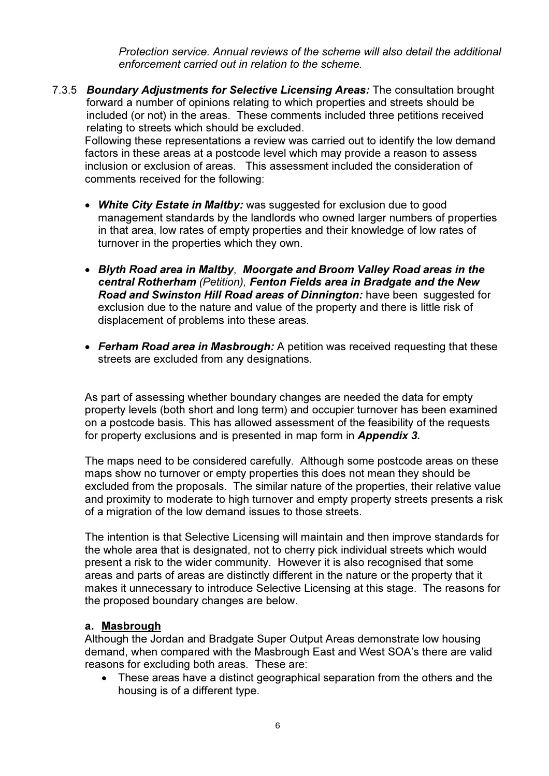Protection service. Annual reviews of the scheme will also detail the additional enforcement carried out in relation to the scheme.

7.3.5 Boundary Adjustments for Selective Licensing Areas: The consultation brought forward a number of opinions relating to which properties and streets should be included (or not) in the areas. These comments included three petitions received relating to streets which should be excluded.

Following these representations a review was carried out to identify the low demand factors in these areas at a postcode level which may provide a reason to assess inclusion or exclusion of areas. This assessment included the consideration of comments received for the following:

- White City Estate in Maltby: was suggested for exclusion due to good management standards by the landlords who owned larger numbers of properties in that area, low rates of empty properties and their knowledge of low rates of turnover in the properties which they own.
- Blyth Road area in Maltby, Moorgate and Broom Valley Road areas in the central Rotherham (Petition), Fenton Fields area in Bradgate and the New Road and Swinston Hill Road areas of Dinnington: have been suggested for exclusion due to the nature and value of the property and there is little risk of displacement of problems into these areas.
- Ferham Road area in Masbrough: A petition was received requesting that these streets are excluded from any designations.

As part of assessing whether boundary changes are needed the data for empty property levels (both short and long term) and occupier turnover has been examined on a postcode basis. This has allowed assessment of the feasibility of the requests for property exclusions and is presented in map form in **Appendix 3.** 

The maps need to be considered carefully. Although some postcode areas on these maps show no turnover or empty properties this does not mean they should be excluded from the proposals. The similar nature of the properties, their relative value and proximity to moderate to high turnover and empty property streets presents a risk of a migration of the low demand issues to those streets.

The intention is that Selective Licensing will maintain and then improve standards for the whole area that is designated, not to cherry pick individual streets which would present a risk to the wider community. However it is also recognised that some areas and parts of areas are distinctly different in the nature or the property that it makes it unnecessary to introduce Selective Licensing at this stage. The reasons for the proposed boundary changes are below.

# a. Masbrough

Although the Jordan and Bradgate Super Output Areas demonstrate low housing demand, when compared with the Masbrough East and West SOA's there are valid reasons for excluding both areas. These are:

• These areas have a distinct geographical separation from the others and the housing is of a different type.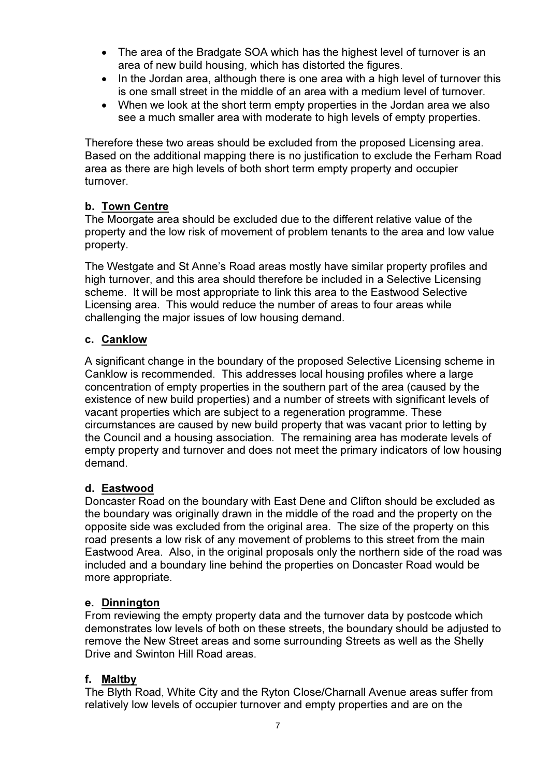- The area of the Bradgate SOA which has the highest level of turnover is an area of new build housing, which has distorted the figures.
- In the Jordan area, although there is one area with a high level of turnover this is one small street in the middle of an area with a medium level of turnover.
- When we look at the short term empty properties in the Jordan area we also see a much smaller area with moderate to high levels of empty properties.

Therefore these two areas should be excluded from the proposed Licensing area. Based on the additional mapping there is no justification to exclude the Ferham Road area as there are high levels of both short term empty property and occupier turnover.

# b. Town Centre

The Moorgate area should be excluded due to the different relative value of the property and the low risk of movement of problem tenants to the area and low value property.

The Westgate and St Anne's Road areas mostly have similar property profiles and high turnover, and this area should therefore be included in a Selective Licensing scheme. It will be most appropriate to link this area to the Eastwood Selective Licensing area. This would reduce the number of areas to four areas while challenging the major issues of low housing demand.

# c. Canklow

A significant change in the boundary of the proposed Selective Licensing scheme in Canklow is recommended. This addresses local housing profiles where a large concentration of empty properties in the southern part of the area (caused by the existence of new build properties) and a number of streets with significant levels of vacant properties which are subject to a regeneration programme. These circumstances are caused by new build property that was vacant prior to letting by the Council and a housing association. The remaining area has moderate levels of empty property and turnover and does not meet the primary indicators of low housing demand.

# d. Eastwood

Doncaster Road on the boundary with East Dene and Clifton should be excluded as the boundary was originally drawn in the middle of the road and the property on the opposite side was excluded from the original area. The size of the property on this road presents a low risk of any movement of problems to this street from the main Eastwood Area. Also, in the original proposals only the northern side of the road was included and a boundary line behind the properties on Doncaster Road would be more appropriate.

# e. Dinnington

From reviewing the empty property data and the turnover data by postcode which demonstrates low levels of both on these streets, the boundary should be adjusted to remove the New Street areas and some surrounding Streets as well as the Shelly Drive and Swinton Hill Road areas.

# f. Maltby

The Blyth Road, White City and the Ryton Close/Charnall Avenue areas suffer from relatively low levels of occupier turnover and empty properties and are on the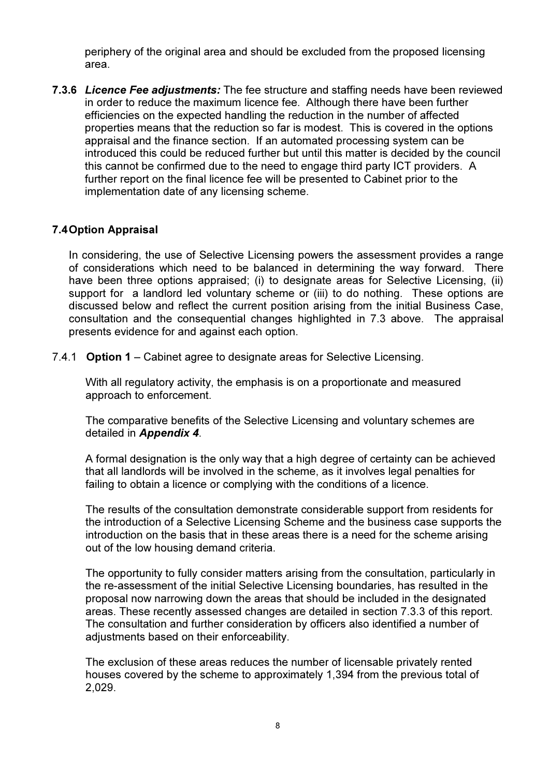periphery of the original area and should be excluded from the proposed licensing area.

7.3.6 Licence Fee adjustments: The fee structure and staffing needs have been reviewed in order to reduce the maximum licence fee. Although there have been further efficiencies on the expected handling the reduction in the number of affected properties means that the reduction so far is modest. This is covered in the options appraisal and the finance section. If an automated processing system can be introduced this could be reduced further but until this matter is decided by the council this cannot be confirmed due to the need to engage third party ICT providers. A further report on the final licence fee will be presented to Cabinet prior to the implementation date of any licensing scheme.

## 7.4 Option Appraisal

In considering, the use of Selective Licensing powers the assessment provides a range of considerations which need to be balanced in determining the way forward. There have been three options appraised; (i) to designate areas for Selective Licensing, (ii) support for a landlord led voluntary scheme or (iii) to do nothing. These options are discussed below and reflect the current position arising from the initial Business Case, consultation and the consequential changes highlighted in 7.3 above. The appraisal presents evidence for and against each option.

7.4.1 Option 1 – Cabinet agree to designate areas for Selective Licensing.

With all regulatory activity, the emphasis is on a proportionate and measured approach to enforcement.

The comparative benefits of the Selective Licensing and voluntary schemes are detailed in Appendix 4.

A formal designation is the only way that a high degree of certainty can be achieved that all landlords will be involved in the scheme, as it involves legal penalties for failing to obtain a licence or complying with the conditions of a licence.

The results of the consultation demonstrate considerable support from residents for the introduction of a Selective Licensing Scheme and the business case supports the introduction on the basis that in these areas there is a need for the scheme arising out of the low housing demand criteria.

The opportunity to fully consider matters arising from the consultation, particularly in the re-assessment of the initial Selective Licensing boundaries, has resulted in the proposal now narrowing down the areas that should be included in the designated areas. These recently assessed changes are detailed in section 7.3.3 of this report. The consultation and further consideration by officers also identified a number of adjustments based on their enforceability.

The exclusion of these areas reduces the number of licensable privately rented houses covered by the scheme to approximately 1,394 from the previous total of 2,029.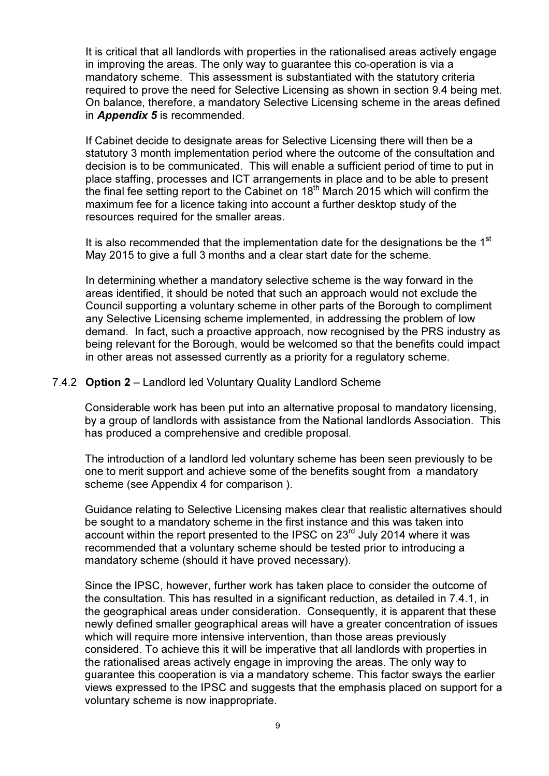It is critical that all landlords with properties in the rationalised areas actively engage in improving the areas. The only way to guarantee this co-operation is via a mandatory scheme. This assessment is substantiated with the statutory criteria required to prove the need for Selective Licensing as shown in section 9.4 being met. On balance, therefore, a mandatory Selective Licensing scheme in the areas defined in **Appendix 5** is recommended.

If Cabinet decide to designate areas for Selective Licensing there will then be a statutory 3 month implementation period where the outcome of the consultation and decision is to be communicated. This will enable a sufficient period of time to put in place staffing, processes and ICT arrangements in place and to be able to present the final fee setting report to the Cabinet on 18<sup>th</sup> March 2015 which will confirm the maximum fee for a licence taking into account a further desktop study of the resources required for the smaller areas.

It is also recommended that the implementation date for the designations be the  $1<sup>st</sup>$ May 2015 to give a full 3 months and a clear start date for the scheme.

In determining whether a mandatory selective scheme is the way forward in the areas identified, it should be noted that such an approach would not exclude the Council supporting a voluntary scheme in other parts of the Borough to compliment any Selective Licensing scheme implemented, in addressing the problem of low demand. In fact, such a proactive approach, now recognised by the PRS industry as being relevant for the Borough, would be welcomed so that the benefits could impact in other areas not assessed currently as a priority for a regulatory scheme.

#### 7.4.2 Option 2 – Landlord led Voluntary Quality Landlord Scheme

Considerable work has been put into an alternative proposal to mandatory licensing, by a group of landlords with assistance from the National landlords Association. This has produced a comprehensive and credible proposal.

The introduction of a landlord led voluntary scheme has been seen previously to be one to merit support and achieve some of the benefits sought from a mandatory scheme (see Appendix 4 for comparison ).

Guidance relating to Selective Licensing makes clear that realistic alternatives should be sought to a mandatory scheme in the first instance and this was taken into account within the report presented to the IPSC on 23<sup>rd</sup> July 2014 where it was recommended that a voluntary scheme should be tested prior to introducing a mandatory scheme (should it have proved necessary).

Since the IPSC, however, further work has taken place to consider the outcome of the consultation. This has resulted in a significant reduction, as detailed in 7.4.1, in the geographical areas under consideration. Consequently, it is apparent that these newly defined smaller geographical areas will have a greater concentration of issues which will require more intensive intervention, than those areas previously considered. To achieve this it will be imperative that all landlords with properties in the rationalised areas actively engage in improving the areas. The only way to guarantee this cooperation is via a mandatory scheme. This factor sways the earlier views expressed to the IPSC and suggests that the emphasis placed on support for a voluntary scheme is now inappropriate.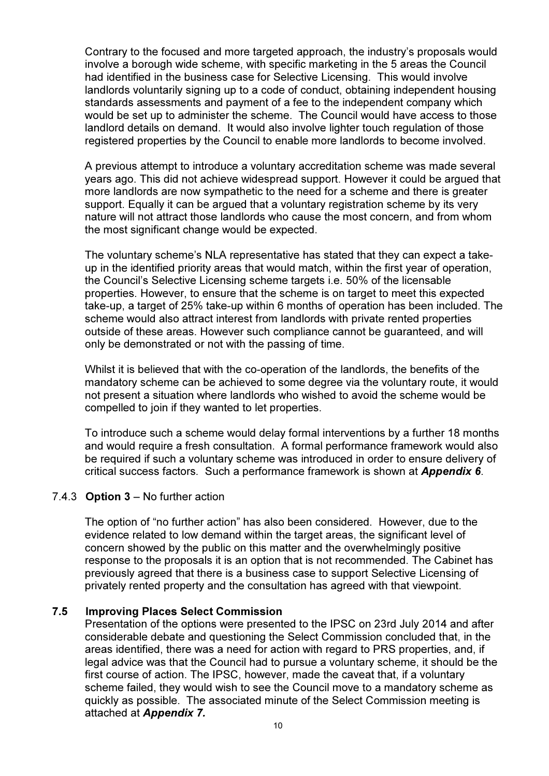Contrary to the focused and more targeted approach, the industry's proposals would involve a borough wide scheme, with specific marketing in the 5 areas the Council had identified in the business case for Selective Licensing. This would involve landlords voluntarily signing up to a code of conduct, obtaining independent housing standards assessments and payment of a fee to the independent company which would be set up to administer the scheme. The Council would have access to those landlord details on demand. It would also involve lighter touch regulation of those registered properties by the Council to enable more landlords to become involved.

A previous attempt to introduce a voluntary accreditation scheme was made several years ago. This did not achieve widespread support. However it could be argued that more landlords are now sympathetic to the need for a scheme and there is greater support. Equally it can be argued that a voluntary registration scheme by its very nature will not attract those landlords who cause the most concern, and from whom the most significant change would be expected.

The voluntary scheme's NLA representative has stated that they can expect a takeup in the identified priority areas that would match, within the first year of operation, the Council's Selective Licensing scheme targets i.e. 50% of the licensable properties. However, to ensure that the scheme is on target to meet this expected take-up, a target of 25% take-up within 6 months of operation has been included. The scheme would also attract interest from landlords with private rented properties outside of these areas. However such compliance cannot be guaranteed, and will only be demonstrated or not with the passing of time.

Whilst it is believed that with the co-operation of the landlords, the benefits of the mandatory scheme can be achieved to some degree via the voluntary route, it would not present a situation where landlords who wished to avoid the scheme would be compelled to join if they wanted to let properties.

To introduce such a scheme would delay formal interventions by a further 18 months and would require a fresh consultation. A formal performance framework would also be required if such a voluntary scheme was introduced in order to ensure delivery of critical success factors. Such a performance framework is shown at **Appendix 6**.

### 7.4.3 Option 3 – No further action

The option of "no further action" has also been considered. However, due to the evidence related to low demand within the target areas, the significant level of concern showed by the public on this matter and the overwhelmingly positive response to the proposals it is an option that is not recommended. The Cabinet has previously agreed that there is a business case to support Selective Licensing of privately rented property and the consultation has agreed with that viewpoint.

### 7.5 Improving Places Select Commission

Presentation of the options were presented to the IPSC on 23rd July 2014 and after considerable debate and questioning the Select Commission concluded that, in the areas identified, there was a need for action with regard to PRS properties, and, if legal advice was that the Council had to pursue a voluntary scheme, it should be the first course of action. The IPSC, however, made the caveat that, if a voluntary scheme failed, they would wish to see the Council move to a mandatory scheme as quickly as possible. The associated minute of the Select Commission meeting is attached at Appendix 7.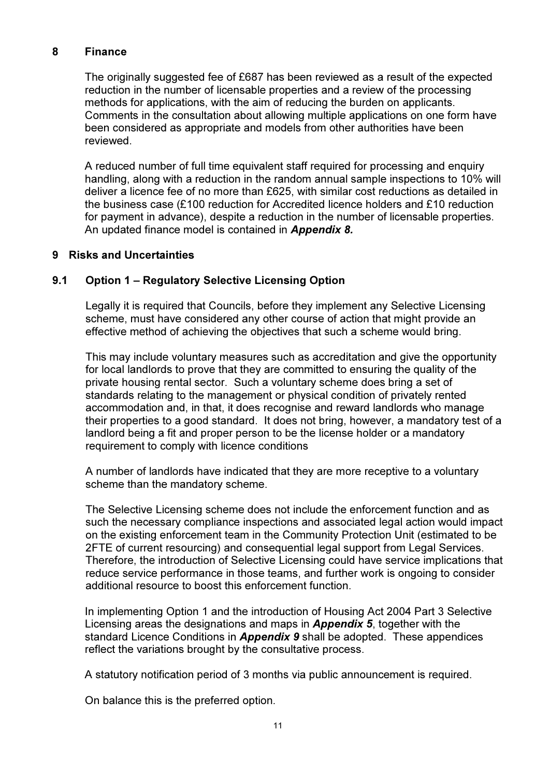### 8 Finance

The originally suggested fee of £687 has been reviewed as a result of the expected reduction in the number of licensable properties and a review of the processing methods for applications, with the aim of reducing the burden on applicants. Comments in the consultation about allowing multiple applications on one form have been considered as appropriate and models from other authorities have been reviewed.

A reduced number of full time equivalent staff required for processing and enquiry handling, along with a reduction in the random annual sample inspections to 10% will deliver a licence fee of no more than £625, with similar cost reductions as detailed in the business case (£100 reduction for Accredited licence holders and £10 reduction for payment in advance), despite a reduction in the number of licensable properties. An updated finance model is contained in **Appendix 8.** 

## 9 Risks and Uncertainties

# 9.1 Option 1 – Regulatory Selective Licensing Option

Legally it is required that Councils, before they implement any Selective Licensing scheme, must have considered any other course of action that might provide an effective method of achieving the objectives that such a scheme would bring.

This may include voluntary measures such as accreditation and give the opportunity for local landlords to prove that they are committed to ensuring the quality of the private housing rental sector. Such a voluntary scheme does bring a set of standards relating to the management or physical condition of privately rented accommodation and, in that, it does recognise and reward landlords who manage their properties to a good standard. It does not bring, however, a mandatory test of a landlord being a fit and proper person to be the license holder or a mandatory requirement to comply with licence conditions

A number of landlords have indicated that they are more receptive to a voluntary scheme than the mandatory scheme.

The Selective Licensing scheme does not include the enforcement function and as such the necessary compliance inspections and associated legal action would impact on the existing enforcement team in the Community Protection Unit (estimated to be 2FTE of current resourcing) and consequential legal support from Legal Services. Therefore, the introduction of Selective Licensing could have service implications that reduce service performance in those teams, and further work is ongoing to consider additional resource to boost this enforcement function.

In implementing Option 1 and the introduction of Housing Act 2004 Part 3 Selective Licensing areas the designations and maps in **Appendix 5**, together with the standard Licence Conditions in Appendix 9 shall be adopted. These appendices reflect the variations brought by the consultative process.

A statutory notification period of 3 months via public announcement is required.

On balance this is the preferred option.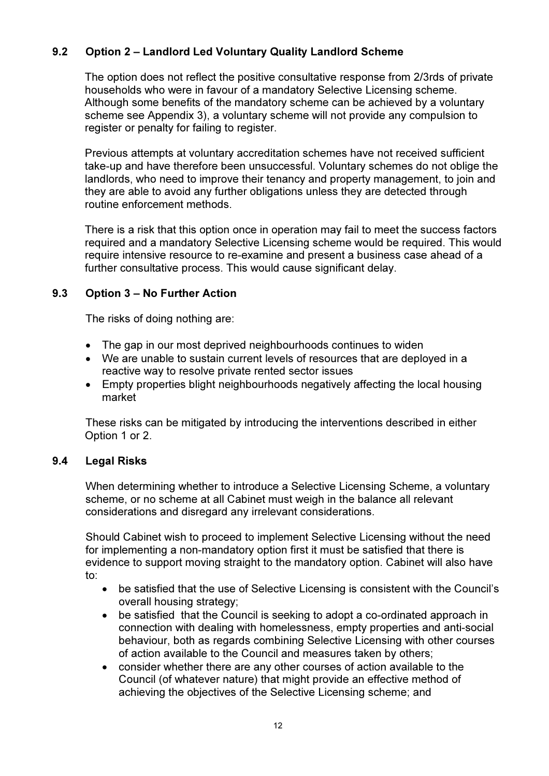# 9.2 Option 2 – Landlord Led Voluntary Quality Landlord Scheme

The option does not reflect the positive consultative response from 2/3rds of private households who were in favour of a mandatory Selective Licensing scheme. Although some benefits of the mandatory scheme can be achieved by a voluntary scheme see Appendix 3), a voluntary scheme will not provide any compulsion to register or penalty for failing to register.

Previous attempts at voluntary accreditation schemes have not received sufficient take-up and have therefore been unsuccessful. Voluntary schemes do not oblige the landlords, who need to improve their tenancy and property management, to join and they are able to avoid any further obligations unless they are detected through routine enforcement methods.

There is a risk that this option once in operation may fail to meet the success factors required and a mandatory Selective Licensing scheme would be required. This would require intensive resource to re-examine and present a business case ahead of a further consultative process. This would cause significant delay.

## 9.3 Option 3 – No Further Action

The risks of doing nothing are:

- The gap in our most deprived neighbourhoods continues to widen
- We are unable to sustain current levels of resources that are deployed in a reactive way to resolve private rented sector issues
- Empty properties blight neighbourhoods negatively affecting the local housing market

These risks can be mitigated by introducing the interventions described in either Option 1 or 2.

# 9.4 Legal Risks

When determining whether to introduce a Selective Licensing Scheme, a voluntary scheme, or no scheme at all Cabinet must weigh in the balance all relevant considerations and disregard any irrelevant considerations.

Should Cabinet wish to proceed to implement Selective Licensing without the need for implementing a non-mandatory option first it must be satisfied that there is evidence to support moving straight to the mandatory option. Cabinet will also have to:

- be satisfied that the use of Selective Licensing is consistent with the Council's overall housing strategy;
- be satisfied that the Council is seeking to adopt a co-ordinated approach in connection with dealing with homelessness, empty properties and anti-social behaviour, both as regards combining Selective Licensing with other courses of action available to the Council and measures taken by others;
- consider whether there are any other courses of action available to the Council (of whatever nature) that might provide an effective method of achieving the objectives of the Selective Licensing scheme; and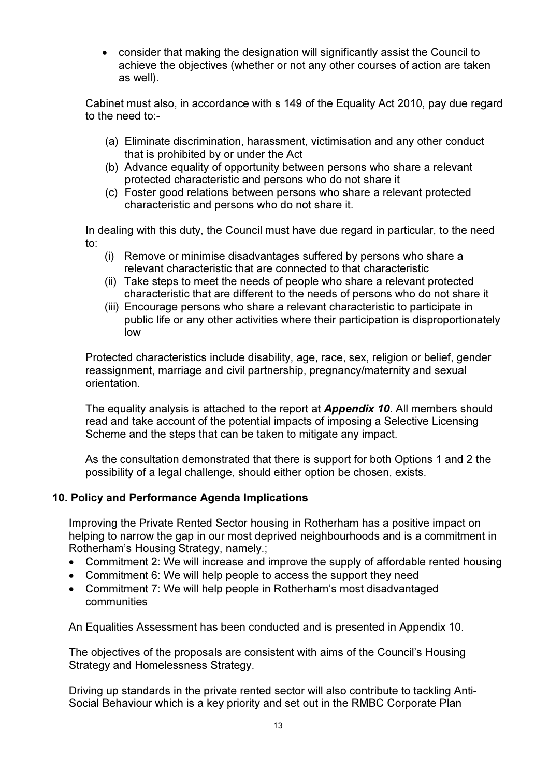• consider that making the designation will significantly assist the Council to achieve the objectives (whether or not any other courses of action are taken as well).

Cabinet must also, in accordance with s 149 of the Equality Act 2010, pay due regard to the need to:-

- (a) Eliminate discrimination, harassment, victimisation and any other conduct that is prohibited by or under the Act
- (b) Advance equality of opportunity between persons who share a relevant protected characteristic and persons who do not share it
- (c) Foster good relations between persons who share a relevant protected characteristic and persons who do not share it.

In dealing with this duty, the Council must have due regard in particular, to the need to:

- (i) Remove or minimise disadvantages suffered by persons who share a relevant characteristic that are connected to that characteristic
- (ii) Take steps to meet the needs of people who share a relevant protected characteristic that are different to the needs of persons who do not share it
- (iii) Encourage persons who share a relevant characteristic to participate in public life or any other activities where their participation is disproportionately low

Protected characteristics include disability, age, race, sex, religion or belief, gender reassignment, marriage and civil partnership, pregnancy/maternity and sexual orientation.

The equality analysis is attached to the report at **Appendix 10**. All members should read and take account of the potential impacts of imposing a Selective Licensing Scheme and the steps that can be taken to mitigate any impact.

As the consultation demonstrated that there is support for both Options 1 and 2 the possibility of a legal challenge, should either option be chosen, exists.

# 10. Policy and Performance Agenda Implications

Improving the Private Rented Sector housing in Rotherham has a positive impact on helping to narrow the gap in our most deprived neighbourhoods and is a commitment in Rotherham's Housing Strategy, namely.;

- Commitment 2: We will increase and improve the supply of affordable rented housing
- Commitment 6: We will help people to access the support they need
- Commitment 7: We will help people in Rotherham's most disadvantaged communities

An Equalities Assessment has been conducted and is presented in Appendix 10.

The objectives of the proposals are consistent with aims of the Council's Housing Strategy and Homelessness Strategy.

Driving up standards in the private rented sector will also contribute to tackling Anti-Social Behaviour which is a key priority and set out in the RMBC Corporate Plan